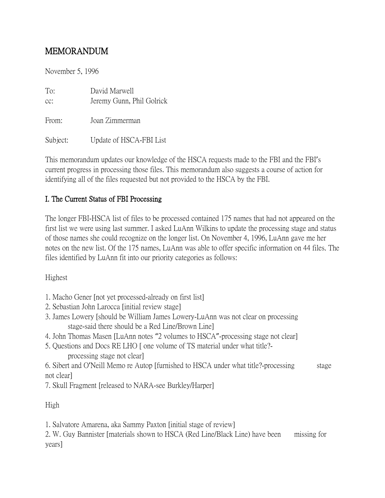# MEMORANDUM

November 5, 1996

| To:<br>$CC$ : | David Marwell<br>Jeremy Gunn, Phil Golrick |
|---------------|--------------------------------------------|
| From:         | Joan Zimmerman                             |
| Subject:      | Update of HSCA-FBI List                    |

This memorandum updates our knowledge of the HSCA requests made to the FBI and the FBI's current progress in processing those files. This memorandum also suggests a course of action for identifying all of the files requested but not provided to the HSCA by the FBI.

### I. The Current Status of FBI Processing

The longer FBI-HSCA list of files to be processed contained 175 names that had not appeared on the first list we were using last summer. I asked LuAnn Wilkins to update the processing stage and status of those names she could recognize on the longer list. On November 4, 1996, LuAnn gave me her notes on the new list. Of the 175 names, LuAnn was able to offer specific information on 44 files. The files identified by LuAnn fit into our priority categories as follows:

Highest

- 1. Macho Gener [not yet processed-already on first list]
- 2. Sebastian John Larocca [initial review stage]
- 3. James Lowery [should be William James Lowery-LuAnn was not clear on processing stage-said there should be a Red Line/Brown Line]
- 4. John Thomas Masen [LuAnn notes "2 volumes to HSCA"-processing stage not clear]
- 5. Questions and Docs RE LHO [ one volume of TS material under what title? processing stage not clear]

6. Sibert and O'Neill Memo re Autop [furnished to HSCA under what title?-processing stage not clear]

7. Skull Fragment [released to NARA-see Burkley/Harper]

High

1. Salvatore Amarena, aka Sammy Paxton [initial stage of review]

2. W. Guy Bannister [materials shown to HSCA (Red Line/Black Line) have been missing for years]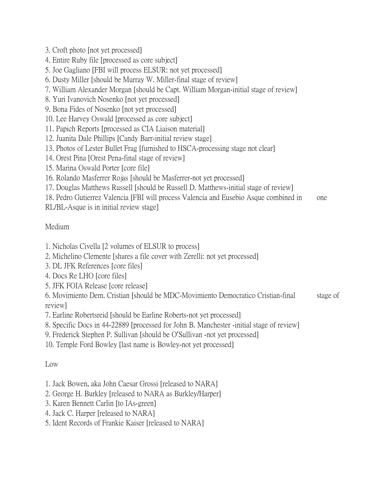- 3. Croft photo [not yet processed]
- 4. Entire Ruby file [processed as core subject]
- 5. Joe Gagliano [FBI will process ELSUR: not yet processed]
- 6. Dusty Miller [should be Murray W. Miller-final stage of review]
- 7. William Alexander Morgan [should be Capt. William Morgan-initial stage of review]
- 8. Yuri Ivanovich Nosenko [not yet processed]
- 9. Bona Fides of Nosenko [not yet processed]
- 10. Lee Harvey Oswald [processed as core subject]
- 11. Papich Reports [processed as CIA Liaison material]
- 12. Juanita Dale Phillips [Candy Barr-initial review stage]
- 13. Photos of Lester Bullet Frag [furnished to HSCA-processing stage not clear]
- 14. Orest Pina [Orest Pena-final stage of review]
- 15. Marina Oswald Porter [core file]
- 16. Rolando Masferrer Rojas [should be Masferrer-not yet processed]
- 17. Douglas Matthews Russell [should be Russell D. Matthews-initial stage of review]
- 18. Pedro Gutierrez Valencia [FBI will process Valencia and Eusebio Asque combined in one
- RL/BL-Asque is in initial review stage]

#### Medium

- 1. Nicholas Civella [2 volumes of ELSUR to process]
- 2. Michelino Clemente [shares a file cover with Zerelli: not yet processed]
- 3. DL JFK References [core files]
- 4. Docs Re LHO [core files]
- 5. JFK FOIA Release [core release]

6. Movimiento Dem. Cristian [should be MDC-Movimiento Democratico Cristian-final stage of review]

- 7. Earline Robertsreid [should be Earline Roberts-not yet processed]
- 8. Specific Docs in 44-22889 [processed for John B. Manchester -initial stage of review]
- 9. Frederick Stephen P. Sullivan [should be O'Sullivan -not yet processed]
- 10. Temple Ford Bowley [last name is Bowley-not yet processed]

#### Low

1. Jack Bowen, aka John Caesar Grossi [released to NARA]

- 2. George H. Burkley [released to NARA as Burkley/Harper]
- 3. Karen Bennett Carlin [to IAs-green]
- 4. Jack C. Harper [released to NARA]
- 5. Ident Records of Frankie Kaiser [released to NARA]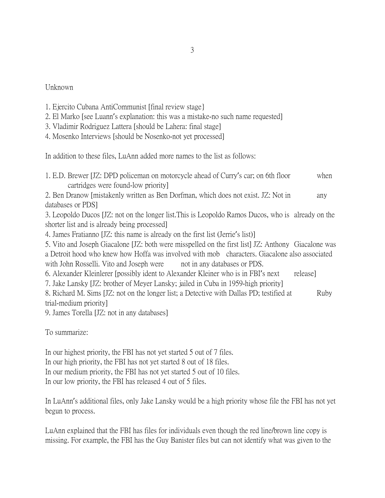#### Unknown

|  | 1. Ejercito Cubana AntiCommunist [final review stage] |  |  |  |
|--|-------------------------------------------------------|--|--|--|
|  |                                                       |  |  |  |

- 2. El Marko [see Luann's explanation: this was a mistake-no such name requested]
- 3. Vladimir Rodriguez Lattera [should be Lahera: final stage]
- 4. Mosenko Interviews [should be Nosenko-not yet processed]

In addition to these files, LuAnn added more names to the list as follows:

1. E.D. Brewer [JZ: DPD policeman on motorcycle ahead of Curry's car; on 6th floor when cartridges were found-low priority]

2. Ben Dranow [mistakenly written as Ben Dorfman, which does not exist. JZ: Not in any databases or PDS]

3. Leopoldo Ducos [JZ: not on the longer list.This is Leopoldo Ramos Ducos, who is already on the shorter list and is already being processed]

4. James Fratianno [JZ: this name is already on the first list (Jerrie's list)]

5. Vito and Joseph Giacalone [JZ: both were misspelled on the first list] JZ: Anthony Giacalone was a Detroit hood who knew how Hoffa was involved with mob characters. Giacalone also associated with John Rosselli. Vito and Joseph were not in any databases or PDS.

6. Alexander Kleinlerer [possibly ident to Alexander Kleiner who is in FBI's next release]

7. Jake Lansky [JZ: brother of Meyer Lansky; jailed in Cuba in 1959-high priority]

8. Richard M. Sims [JZ: not on the longer list; a Detective with Dallas PD; testified at Ruby trial-medium priority]

9. James Torella [JZ: not in any databases]

To summarize:

In our highest priority, the FBI has not yet started 5 out of 7 files. In our high priority, the FBI has not yet started 8 out of 18 files. In our medium priority, the FBI has not yet started 5 out of 10 files. In our low priority, the FBI has released 4 out of 5 files.

In LuAnn's additional files, only Jake Lansky would be a high priority whose file the FBI has not yet begun to process.

LuAnn explained that the FBI has files for individuals even though the red line/brown line copy is missing. For example, the FBI has the Guy Banister files but can not identify what was given to the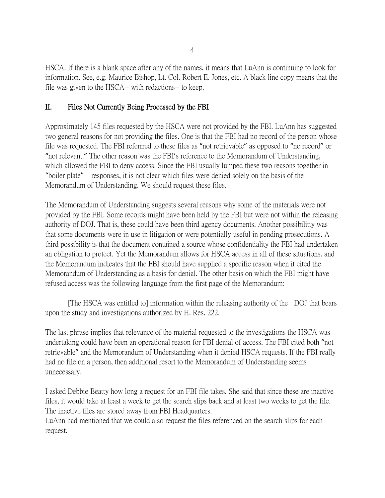HSCA. If there is a blank space after any of the names, it means that LuAnn is continuing to look for information. See, e.g. Maurice Bishop, Lt. Col. Robert E. Jones, etc. A black line copy means that the file was given to the HSCA-- with redactions-- to keep.

## II. Files Not Currently Being Processed by the FBI

Approximately 145 files requested by the HSCA were not provided by the FBI. LuAnn has suggested two general reasons for not providing the files. One is that the FBI had no record of the person whose file was requested. The FBI referrred to these files as "not retrievable" as opposed to "no record" or "not relevant." The other reason was the FBI's reference to the Memorandum of Understanding, which allowed the FBI to deny access. Since the FBI usually lumped these two reasons together in "boiler plate" responses, it is not clear which files were denied solely on the basis of the Memorandum of Understanding. We should request these files.

The Memorandum of Understanding suggests several reasons why some of the materials were not provided by the FBI. Some records might have been held by the FBI but were not within the releasing authority of DOJ. That is, these could have been third agency documents. Another possibilitiy was that some documents were in use in litigation or were potentially useful in pending prosecutions. A third possibility is that the document contained a source whose confidentiality the FBI had undertaken an obligation to protect. Yet the Memorandum allows for HSCA access in all of these situations, and the Memorandum indicates that the FBI should have supplied a specific reason when it cited the Memorandum of Understanding as a basis for denial. The other basis on which the FBI might have refused access was the following language from the first page of the Memorandum:

[The HSCA was entitled to] information within the releasing authority of the DOJ that bears upon the study and investigations authorized by H. Res. 222.

The last phrase implies that relevance of the material requested to the investigations the HSCA was undertaking could have been an operational reason for FBI denial of access. The FBI cited both "not retrievable" and the Memorandum of Understanding when it denied HSCA requests. If the FBI really had no file on a person, then additional resort to the Memorandum of Understanding seems unnecessary.

I asked Debbie Beatty how long a request for an FBI file takes. She said that since these are inactive files, it would take at least a week to get the search slips back and at least two weeks to get the file. The inactive files are stored away from FBI Headquarters.

LuAnn had mentioned that we could also request the files referenced on the search slips for each request.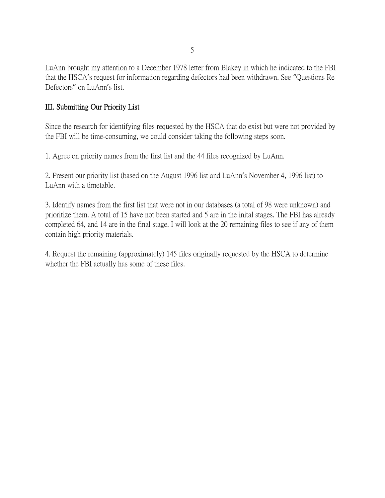LuAnn brought my attention to a December 1978 letter from Blakey in which he indicated to the FBI that the HSCA's request for information regarding defectors had been withdrawn. See "Questions Re Defectors" on LuAnn's list.

#### III. Submitting Our Priority List

Since the research for identifying files requested by the HSCA that do exist but were not provided by the FBI will be time-consuming, we could consider taking the following steps soon.

1. Agree on priority names from the first list and the 44 files recognized by LuAnn.

2. Present our priority list (based on the August 1996 list and LuAnn's November 4, 1996 list) to LuAnn with a timetable.

3. Identify names from the first list that were not in our databases (a total of 98 were unknown) and prioritize them. A total of 15 have not been started and 5 are in the inital stages. The FBI has already completed 64, and 14 are in the final stage. I will look at the 20 remaining files to see if any of them contain high priority materials.

4. Request the remaining (approximately) 145 files originally requested by the HSCA to determine whether the FBI actually has some of these files.